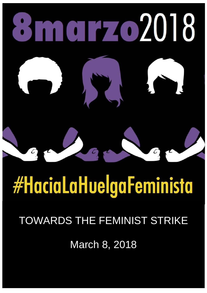

# **#HaciaLaHuelgaFeminista**

## TOWARDS THE FEMINIST STRIKE

March 8, 2018

HUELGAS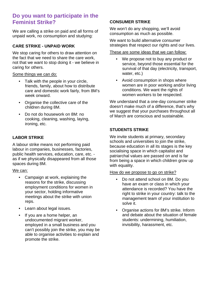#### **Do you want to participate in the Feminist Strike?**

We are calling a strike on paid and all forms of unpaid work, no consumption and studying:

#### **CARE STRIKE - UNPAID WORK**

We stop caring for others to draw attention on the fact that we need to share the care work, not that we want to stop doing it - we believe in caring for others.

Some things we can do:

- Talk with the people in your circle, friends, family, about how to distribute care and domestic work fairly, from 8M's week onward.
- Organise the collective care of the children during 8M.
- Do not do housework on 8M: no cooking, cleaning, washing, laying, ironing, etc.

#### **LABOR STRIKE**

A labour strike means not performing paid labour in companies, businesses, factories, public health services, education, care, etc. as if we physically disappeared from all those spaces during 8M.

#### We can:

- Campaign at work, explaining the reasons for the strike, discussing employment conditions for women in your sector, holding informative meetings about the strike with union reps.
- Learn about legal issues.
- If you are a home helper, an undocumented migrant worker, employed in a small business and you can't possibly join the strike, you may be able to organise activities to explain and promote the strike.

#### **CONSUMER STRIKE**

We won't do any shopping, we'll avoid consumption as much as possible.

We want to build alternative consumer strategies that respect our rights and our lives.

#### These are some ideas that we can follow:

- We propose not to buy any product or service, beyond those essential for the survival of that day (electricity, transport, water, etc.)
- Avoid consumption in shops where women are in poor working and/or living conditions. We want the rights of women workers to be respected.

We understand that a one-day consumer strike doesn't make much of a difference, that's why we suggest that your purchases throughout all of March are conscious and sustainable.

#### **STUDENTS STRIKE**

We invite students at primary, secondary schools and universities to join the strike, because education in all its stages is the key socialising space in which capitalist and patriarchal values are passed on and is far from being a space in which children grow up with equality.

#### How do we propose to go on strike?

- Do not attend school on 8M. Do you have an exam or class in which your attendance is recorded? You have the right to strike in your country: talk to the management team of your institution to solve it.
- Organise actions for 8M's strike. Inform and debate about the situation of female students: undermining, humiliation, invisibility, harassment, etc.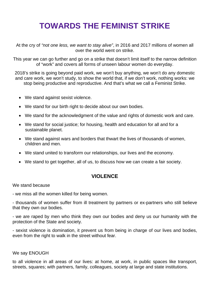### **TOWARDS THE FEMINIST STRIKE**

At the cry of *"not one less, we want to stay alive"*, in 2016 and 2017 millions of women all over the world went on strike.

This year we can go further and go on a strike that doesn't limit itself to the narrow definition of "work" and covers all forms of unseen labour women do everyday.

2018's strike is going beyond paid work, we won't buy anything, we won't do any domestic and care work, we won't study, to show the world that, if we don't work, nothing works: we stop being productive and reproductive. And that's what we call a Feminist Strike.

- We stand against sexist violence.
- We stand for our birth right to decide about our own bodies.
- We stand for the acknowledgment of the value and rights of domestic work and care.
- We stand for social justice; for housing, health and education for all and for a sustainable planet.
- We stand against wars and borders that thwart the lives of thousands of women, children and men.
- We stand united to transform our relationships, our lives and the economy.
- We stand to get together, all of us, to discuss how we can create a fair society.

#### **VIOLENCE**

We stand because

- we miss all the women killed for being women.

- thousands of women suffer from ill treatment by partners or ex-partners who still believe that they own our bodies.

- we are raped by men who think they own our bodies and deny us our humanity with the protection of the State and society.

- sexist violence is domination, it prevent us from being in charge of our lives and bodies, even from the right to walk in the street without fear.

#### We say ENOUGH

to all violence in all areas of our lives: at home, at work, in public spaces like transport, streets, squares; with partners, family, colleagues, society at large and state institutions.